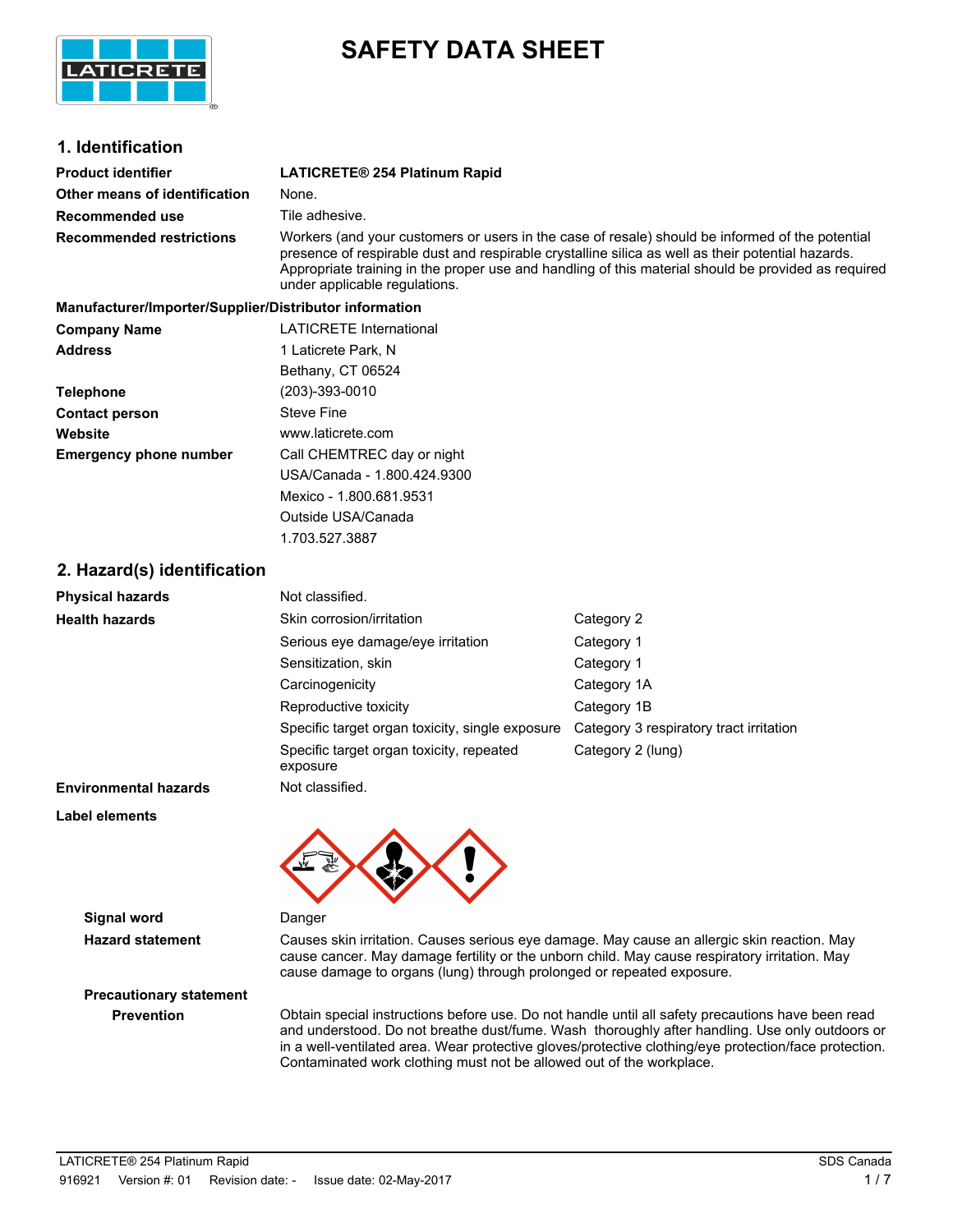

# **SAFETY DATA SHEET**

# **1. Identification**

| <b>Product identifier</b>       | <b>LATICRETE® 254 Platinum Rapid</b>                                                                                                                                                                                                                                                                                                         |
|---------------------------------|----------------------------------------------------------------------------------------------------------------------------------------------------------------------------------------------------------------------------------------------------------------------------------------------------------------------------------------------|
| Other means of identification   | None.                                                                                                                                                                                                                                                                                                                                        |
| Recommended use                 | Tile adhesive.                                                                                                                                                                                                                                                                                                                               |
| <b>Recommended restrictions</b> | Workers (and your customers or users in the case of resale) should be informed of the potential<br>presence of respirable dust and respirable crystalline silica as well as their potential hazards.<br>Appropriate training in the proper use and handling of this material should be provided as required<br>under applicable regulations. |

| Manufacturer/Importer/Supplier/Distributor information |                                |  |  |
|--------------------------------------------------------|--------------------------------|--|--|
| <b>Company Name</b>                                    | <b>LATICRETE International</b> |  |  |
| <b>Address</b>                                         | 1 Laticrete Park, N            |  |  |
|                                                        | Bethany, CT 06524              |  |  |
| <b>Telephone</b>                                       | (203)-393-0010                 |  |  |
| <b>Contact person</b>                                  | Steve Fine                     |  |  |
| Website                                                | www.laticrete.com              |  |  |
| <b>Emergency phone number</b>                          | Call CHEMTREC day or night     |  |  |
|                                                        | USA/Canada - 1.800.424.9300    |  |  |
|                                                        | Mexico - 1.800.681.9531        |  |  |
|                                                        | Outside USA/Canada             |  |  |

1.703.527.3887

# **2. Hazard(s) identification**

| <b>Physical hazards</b>      | Not classified.                                      |                                         |
|------------------------------|------------------------------------------------------|-----------------------------------------|
| <b>Health hazards</b>        | Skin corrosion/irritation                            | Category 2                              |
|                              | Serious eye damage/eye irritation                    | Category 1                              |
|                              | Sensitization, skin                                  | Category 1                              |
|                              | Carcinogenicity                                      | Category 1A                             |
|                              | Reproductive toxicity                                | Category 1B                             |
|                              | Specific target organ toxicity, single exposure      | Category 3 respiratory tract irritation |
|                              | Specific target organ toxicity, repeated<br>exposure | Category 2 (lung)                       |
| <b>Environmental hazards</b> | Not classified.                                      |                                         |

**Label elements**



**Signal word** Danger

**Hazard statement** Causes skin irritation. Causes serious eye damage. May cause an allergic skin reaction. May cause cancer. May damage fertility or the unborn child. May cause respiratory irritation. May cause damage to organs (lung) through prolonged or repeated exposure.

# **Precautionary statement**

**Prevention** Obtain special instructions before use. Do not handle until all safety precautions have been read and understood. Do not breathe dust/fume. Wash thoroughly after handling. Use only outdoors or in a well-ventilated area. Wear protective gloves/protective clothing/eye protection/face protection. Contaminated work clothing must not be allowed out of the workplace.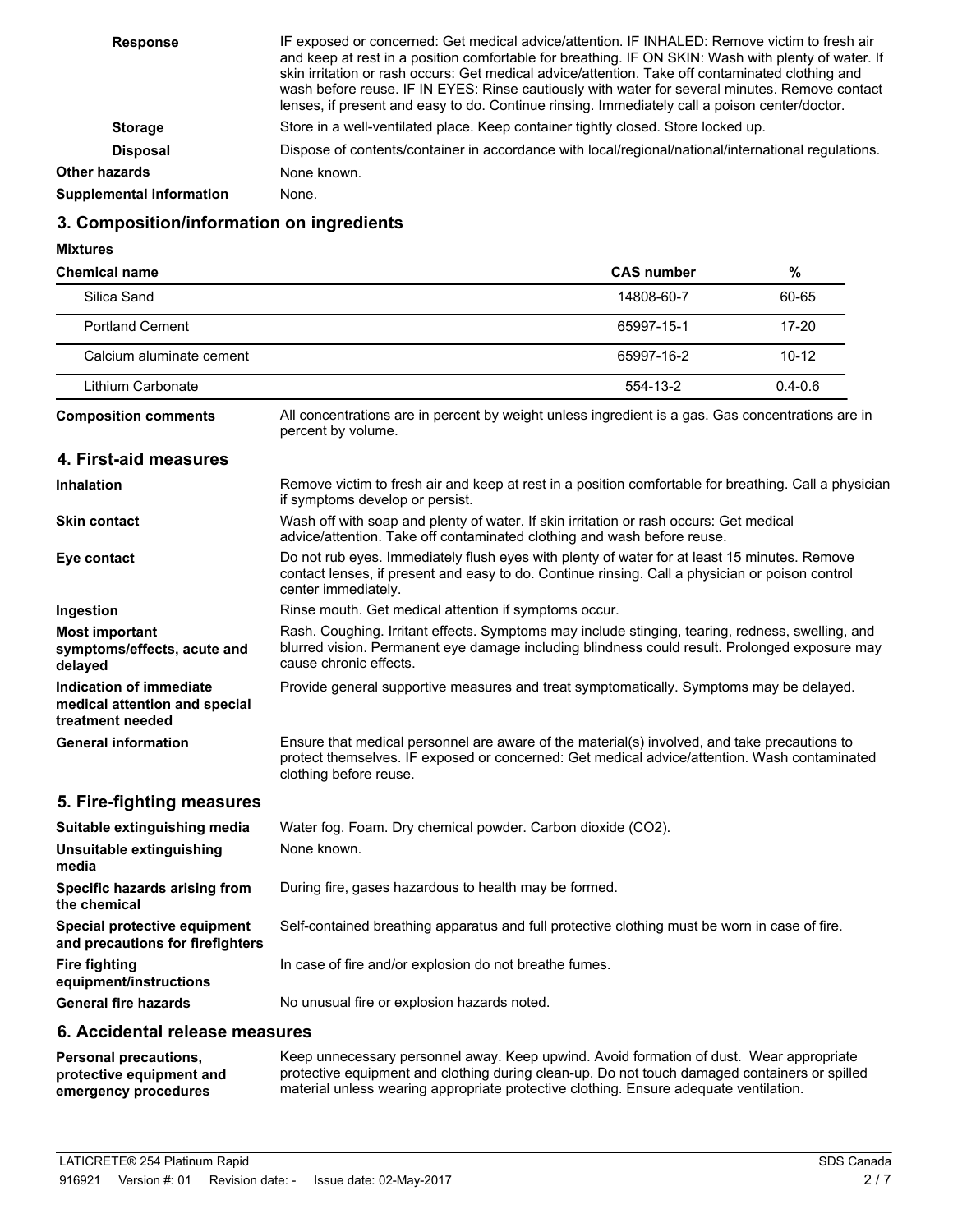| <b>Response</b>                 | IF exposed or concerned: Get medical advice/attention. IF INHALED: Remove victim to fresh air<br>and keep at rest in a position comfortable for breathing. IF ON SKIN: Wash with plenty of water. If<br>skin irritation or rash occurs: Get medical advice/attention. Take off contaminated clothing and<br>wash before reuse. IF IN EYES: Rinse cautiously with water for several minutes. Remove contact<br>lenses, if present and easy to do. Continue rinsing. Immediately call a poison center/doctor. |
|---------------------------------|-------------------------------------------------------------------------------------------------------------------------------------------------------------------------------------------------------------------------------------------------------------------------------------------------------------------------------------------------------------------------------------------------------------------------------------------------------------------------------------------------------------|
| <b>Storage</b>                  | Store in a well-ventilated place. Keep container tightly closed. Store locked up.                                                                                                                                                                                                                                                                                                                                                                                                                           |
| <b>Disposal</b>                 | Dispose of contents/container in accordance with local/regional/national/international regulations.                                                                                                                                                                                                                                                                                                                                                                                                         |
| <b>Other hazards</b>            | None known.                                                                                                                                                                                                                                                                                                                                                                                                                                                                                                 |
| <b>Supplemental information</b> | None.                                                                                                                                                                                                                                                                                                                                                                                                                                                                                                       |

# **3. Composition/information on ingredients**

**Mixtures**

| <b>Chemical name</b>                                                         |                                                                                                                                                                                                                             | <b>CAS number</b>                                     | $\%$        |  |
|------------------------------------------------------------------------------|-----------------------------------------------------------------------------------------------------------------------------------------------------------------------------------------------------------------------------|-------------------------------------------------------|-------------|--|
| Silica Sand                                                                  |                                                                                                                                                                                                                             | 14808-60-7                                            | 60-65       |  |
| <b>Portland Cement</b>                                                       |                                                                                                                                                                                                                             | 65997-15-1                                            | 17-20       |  |
| Calcium aluminate cement                                                     |                                                                                                                                                                                                                             | 65997-16-2                                            | $10 - 12$   |  |
| Lithium Carbonate                                                            |                                                                                                                                                                                                                             | 554-13-2                                              | $0.4 - 0.6$ |  |
| <b>Composition comments</b>                                                  | All concentrations are in percent by weight unless ingredient is a gas. Gas concentrations are in<br>percent by volume.                                                                                                     |                                                       |             |  |
| 4. First-aid measures                                                        |                                                                                                                                                                                                                             |                                                       |             |  |
| <b>Inhalation</b>                                                            | Remove victim to fresh air and keep at rest in a position comfortable for breathing. Call a physician<br>if symptoms develop or persist.                                                                                    |                                                       |             |  |
| <b>Skin contact</b>                                                          | Wash off with soap and plenty of water. If skin irritation or rash occurs: Get medical<br>advice/attention. Take off contaminated clothing and wash before reuse.                                                           |                                                       |             |  |
| Eye contact                                                                  | Do not rub eyes. Immediately flush eyes with plenty of water for at least 15 minutes. Remove<br>contact lenses, if present and easy to do. Continue rinsing. Call a physician or poison control<br>center immediately.      |                                                       |             |  |
| Ingestion                                                                    |                                                                                                                                                                                                                             | Rinse mouth. Get medical attention if symptoms occur. |             |  |
| <b>Most important</b><br>symptoms/effects, acute and<br>delayed              | Rash. Coughing. Irritant effects. Symptoms may include stinging, tearing, redness, swelling, and<br>blurred vision. Permanent eye damage including blindness could result. Prolonged exposure may<br>cause chronic effects. |                                                       |             |  |
| Indication of immediate<br>medical attention and special<br>treatment needed | Provide general supportive measures and treat symptomatically. Symptoms may be delayed.                                                                                                                                     |                                                       |             |  |
| <b>General information</b>                                                   | Ensure that medical personnel are aware of the material(s) involved, and take precautions to<br>protect themselves. IF exposed or concerned: Get medical advice/attention. Wash contaminated<br>clothing before reuse.      |                                                       |             |  |
| 5. Fire-fighting measures                                                    |                                                                                                                                                                                                                             |                                                       |             |  |
| Suitable extinguishing media                                                 | Water fog. Foam. Dry chemical powder. Carbon dioxide (CO2).                                                                                                                                                                 |                                                       |             |  |
| Unsuitable extinguishing<br>media                                            | None known.                                                                                                                                                                                                                 |                                                       |             |  |
| Specific hazards arising from<br>the chemical                                | During fire, gases hazardous to health may be formed.                                                                                                                                                                       |                                                       |             |  |
| Special protective equipment<br>and precautions for firefighters             | Self-contained breathing apparatus and full protective clothing must be worn in case of fire.                                                                                                                               |                                                       |             |  |
| <b>Fire fighting</b><br>equipment/instructions                               | In case of fire and/or explosion do not breathe fumes.                                                                                                                                                                      |                                                       |             |  |
| <b>General fire hazards</b>                                                  | No unusual fire or explosion hazards noted.                                                                                                                                                                                 |                                                       |             |  |

## **6. Accidental release measures**

Keep unnecessary personnel away. Keep upwind. Avoid formation of dust. Wear appropriate protective equipment and clothing during clean-up. Do not touch damaged containers or spilled material unless wearing appropriate protective clothing. Ensure adequate ventilation. **Personal precautions, protective equipment and emergency procedures**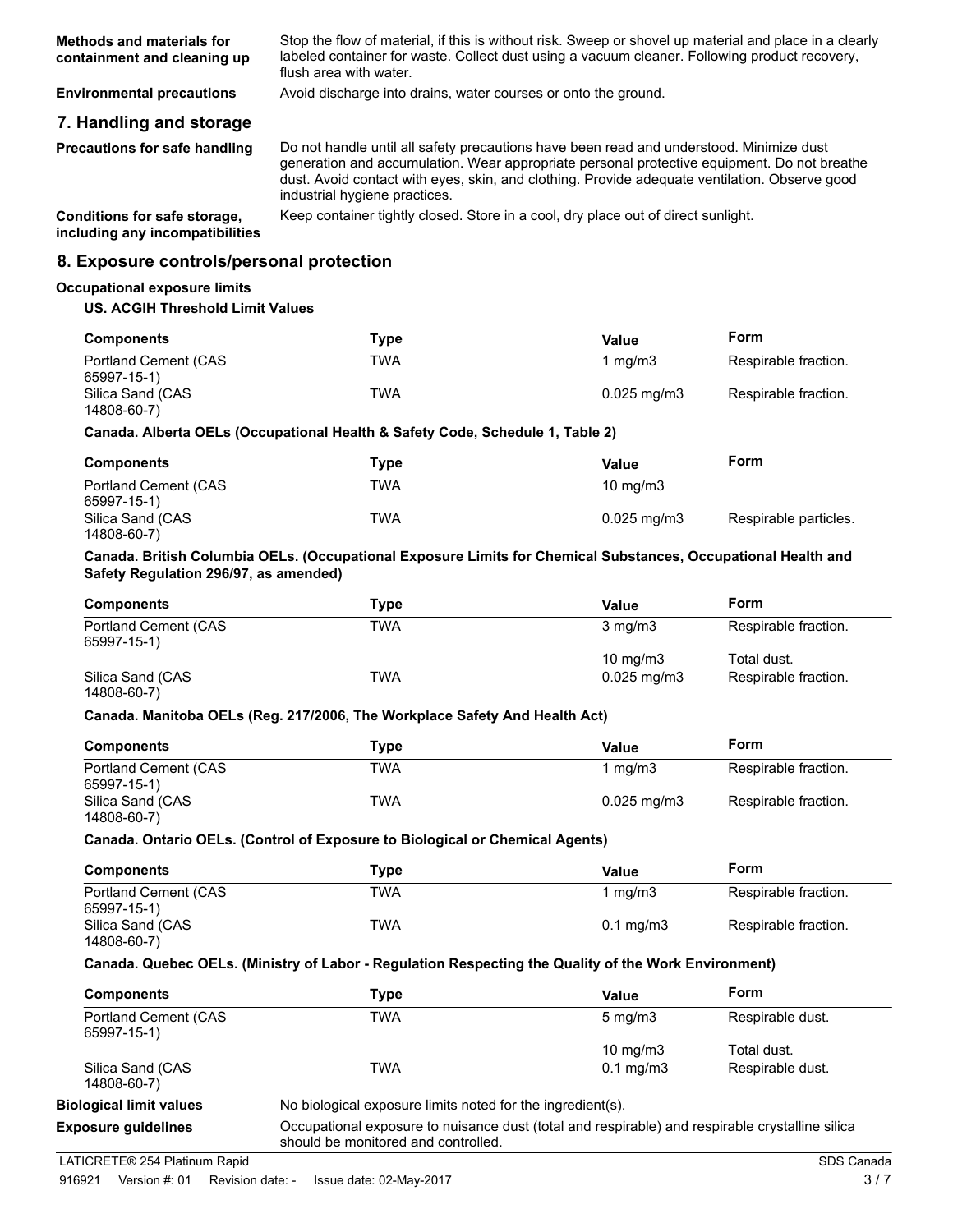| Methods and materials for   | Stop the flow of material, if this is without risk. Sweep or shovel up material and place in a clearly |
|-----------------------------|--------------------------------------------------------------------------------------------------------|
| containment and cleaning up | labeled container for waste. Collect dust using a vacuum cleaner. Following product recovery,          |
|                             | flush area with water.                                                                                 |

**Environmental precautions** Avoid discharge into drains, water courses or onto the ground.

# **7. Handling and storage**

**Precautions for safe handling**

Do not handle until all safety precautions have been read and understood. Minimize dust generation and accumulation. Wear appropriate personal protective equipment. Do not breathe dust. Avoid contact with eyes, skin, and clothing. Provide adequate ventilation. Observe good industrial hygiene practices.

**including any incompatibilities**

**Conditions for safe storage,** Keep container tightly closed. Store in a cool, dry place out of direct sunlight.

## **8. Exposure controls/personal protection**

### **Occupational exposure limits**

## **US. ACGIH Threshold Limit Values**

| <b>Components</b>    | Type | Value                   | Form                 |
|----------------------|------|-------------------------|----------------------|
| Portland Cement (CAS | TWA  | 1 ma/m3                 | Respirable fraction. |
| 65997-15-1)          |      |                         |                      |
| Silica Sand (CAS     | TWA  | $0.025 \,\mathrm{mq/m}$ | Respirable fraction. |
| 14808-60-7)          |      |                         |                      |

## **Canada. Alberta OELs (Occupational Health & Safety Code, Schedule 1, Table 2)**

| <b>Components</b>                   | Tvpe | Value                   | Form                  |
|-------------------------------------|------|-------------------------|-----------------------|
| Portland Cement (CAS<br>65997-15-1) | TWA  | $10 \text{ mg/m}$       |                       |
| Silica Sand (CAS<br>14808-60-7)     | TWA  | $0.025 \,\mathrm{mq/m}$ | Respirable particles. |

## **Canada. British Columbia OELs. (Occupational Exposure Limits for Chemical Substances, Occupational Health and Safety Regulation 296/97, as amended)**

| <b>Components</b>                   | Type | Value                    | Form                 |
|-------------------------------------|------|--------------------------|----------------------|
| Portland Cement (CAS<br>65997-15-1) | TWA  | $3 \text{ mg/m}$         | Respirable fraction. |
|                                     |      | $10 \text{ mg/m}$        | Total dust.          |
| Silica Sand (CAS<br>14808-60-7)     | TWA  | $0.025 \,\mathrm{mq/m3}$ | Respirable fraction. |

### **Canada. Manitoba OELs (Reg. 217/2006, The Workplace Safety And Health Act)**

| <b>Components</b>    | Tvpe | Value                   | Form                 |
|----------------------|------|-------------------------|----------------------|
| Portland Cement (CAS | TWA  | 1 ma/m3                 | Respirable fraction. |
| 65997-15-1)          |      |                         |                      |
| Silica Sand (CAS     | TWA  | $0.025 \,\mathrm{mq/m}$ | Respirable fraction. |
| 14808-60-7)          |      |                         |                      |

### **Canada. Ontario OELs. (Control of Exposure to Biological or Chemical Agents)**

| <b>Components</b>                   | Type       | Value                | Form                 |
|-------------------------------------|------------|----------------------|----------------------|
| Portland Cement (CAS<br>65997-15-1) | <b>TWA</b> | 1 ma/m3              | Respirable fraction. |
| Silica Sand (CAS                    | TWA        | $0.1 \text{ mg/m}$ 3 | Respirable fraction. |
| 14808-60-7)                         |            |                      |                      |

### **Canada. Quebec OELs. (Ministry of Labor - Regulation Respecting the Quality of the Work Environment)**

| <b>Components</b>                   | Type | Value              | Form             |
|-------------------------------------|------|--------------------|------------------|
| Portland Cement (CAS<br>65997-15-1) | TWA  | $5 \text{ mg/m}$   | Respirable dust. |
|                                     |      | 10 $mq/m3$         | Total dust.      |
| Silica Sand (CAS<br>14808-60-7)     | TWA  | $0.1 \text{ mg/m}$ | Respirable dust. |

# **Exposure guidelines**

**Biological limit values** No biological exposure limits noted for the ingredient(s).

Occupational exposure to nuisance dust (total and respirable) and respirable crystalline silica should be monitored and controlled.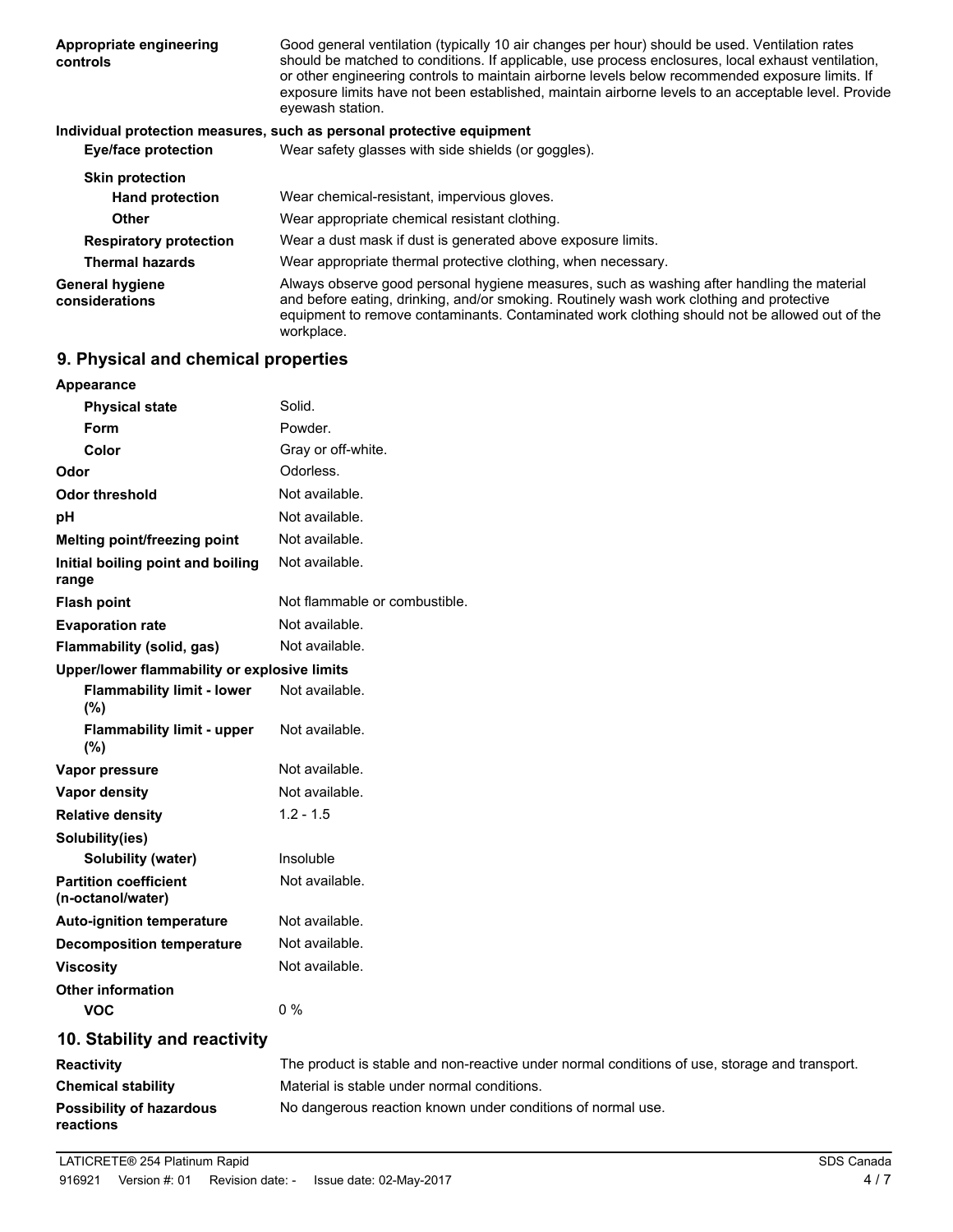| Appropriate engineering<br>controls      | Good general ventilation (typically 10 air changes per hour) should be used. Ventilation rates<br>should be matched to conditions. If applicable, use process enclosures, local exhaust ventilation,<br>or other engineering controls to maintain airborne levels below recommended exposure limits. If<br>exposure limits have not been established, maintain airborne levels to an acceptable level. Provide<br>eyewash station. |
|------------------------------------------|------------------------------------------------------------------------------------------------------------------------------------------------------------------------------------------------------------------------------------------------------------------------------------------------------------------------------------------------------------------------------------------------------------------------------------|
|                                          | Individual protection measures, such as personal protective equipment                                                                                                                                                                                                                                                                                                                                                              |
| <b>Eye/face protection</b>               | Wear safety glasses with side shields (or goggles).                                                                                                                                                                                                                                                                                                                                                                                |
| <b>Skin protection</b>                   |                                                                                                                                                                                                                                                                                                                                                                                                                                    |
| <b>Hand protection</b>                   | Wear chemical-resistant, impervious gloves.                                                                                                                                                                                                                                                                                                                                                                                        |
| <b>Other</b>                             | Wear appropriate chemical resistant clothing.                                                                                                                                                                                                                                                                                                                                                                                      |
| <b>Respiratory protection</b>            | Wear a dust mask if dust is generated above exposure limits.                                                                                                                                                                                                                                                                                                                                                                       |
| <b>Thermal hazards</b>                   | Wear appropriate thermal protective clothing, when necessary.                                                                                                                                                                                                                                                                                                                                                                      |
| <b>General hygiene</b><br>considerations | Always observe good personal hygiene measures, such as washing after handling the material<br>and before eating, drinking, and/or smoking. Routinely wash work clothing and protective<br>equipment to remove contaminants. Contaminated work clothing should not be allowed out of the<br>workplace.                                                                                                                              |

# **9. Physical and chemical properties**

| Appearance                                        |                                                                                               |  |
|---------------------------------------------------|-----------------------------------------------------------------------------------------------|--|
| <b>Physical state</b>                             | Solid.                                                                                        |  |
| <b>Form</b>                                       | Powder.                                                                                       |  |
| Color                                             | Gray or off-white.                                                                            |  |
| Odor                                              | Odorless.                                                                                     |  |
| <b>Odor threshold</b>                             | Not available.                                                                                |  |
| pH                                                | Not available.                                                                                |  |
| Melting point/freezing point                      | Not available.                                                                                |  |
| Initial boiling point and boiling<br>range        | Not available.                                                                                |  |
| <b>Flash point</b>                                | Not flammable or combustible.                                                                 |  |
| <b>Evaporation rate</b>                           | Not available.                                                                                |  |
| Flammability (solid, gas)                         | Not available.                                                                                |  |
| Upper/lower flammability or explosive limits      |                                                                                               |  |
| <b>Flammability limit - lower</b><br>(%)          | Not available.                                                                                |  |
| <b>Flammability limit - upper</b><br>(%)          | Not available.                                                                                |  |
| Vapor pressure                                    | Not available.                                                                                |  |
| Vapor density                                     | Not available.                                                                                |  |
| <b>Relative density</b>                           | $1.2 - 1.5$                                                                                   |  |
| Solubility(ies)                                   |                                                                                               |  |
| <b>Solubility (water)</b>                         | Insoluble                                                                                     |  |
| <b>Partition coefficient</b><br>(n-octanol/water) | Not available.                                                                                |  |
| <b>Auto-ignition temperature</b>                  | Not available.                                                                                |  |
| <b>Decomposition temperature</b>                  | Not available.                                                                                |  |
| <b>Viscosity</b>                                  | Not available.                                                                                |  |
| <b>Other information</b>                          |                                                                                               |  |
| <b>VOC</b>                                        | $0\%$                                                                                         |  |
| 10. Stability and reactivity                      |                                                                                               |  |
| <b>Reactivity</b>                                 | The product is stable and non-reactive under normal conditions of use, storage and transport. |  |
|                                                   |                                                                                               |  |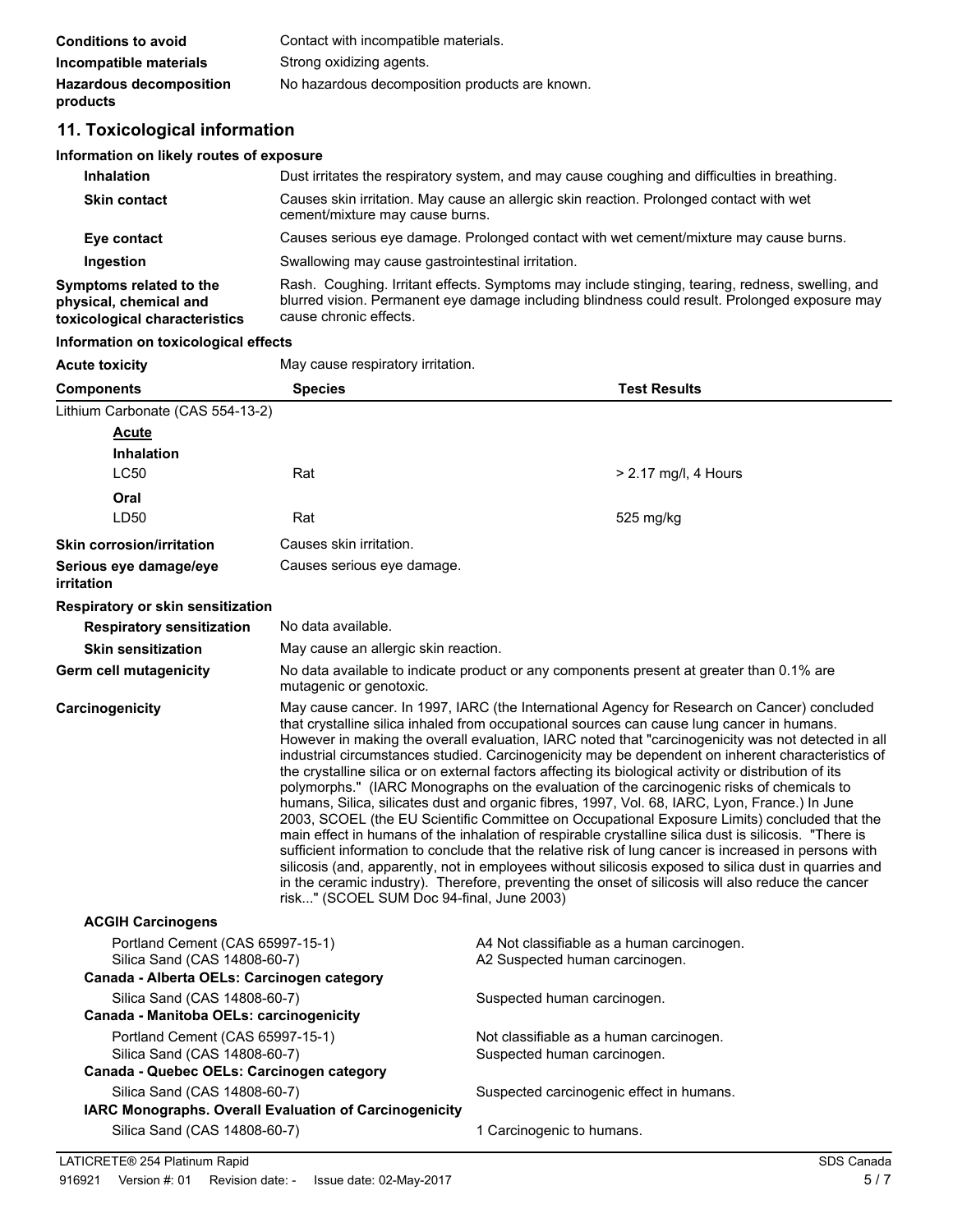| <b>Conditions to avoid</b>                 | Contact with incompatible materials.           |
|--------------------------------------------|------------------------------------------------|
| Incompatible materials                     | Strong oxidizing agents.                       |
| <b>Hazardous decomposition</b><br>products | No hazardous decomposition products are known. |

# **11. Toxicological information**

# **Information on likely routes of exposure**

| <b>Inhalation</b>                                                                  | Dust irritates the respiratory system, and may cause coughing and difficulties in breathing.                                                                                                                                |  |
|------------------------------------------------------------------------------------|-----------------------------------------------------------------------------------------------------------------------------------------------------------------------------------------------------------------------------|--|
| <b>Skin contact</b>                                                                | Causes skin irritation. May cause an allergic skin reaction. Prolonged contact with wet<br>cement/mixture may cause burns.                                                                                                  |  |
| Eye contact                                                                        | Causes serious eye damage. Prolonged contact with wet cement/mixture may cause burns.                                                                                                                                       |  |
| Ingestion                                                                          | Swallowing may cause gastrointestinal irritation.                                                                                                                                                                           |  |
| Symptoms related to the<br>physical, chemical and<br>toxicological characteristics | Rash. Coughing. Irritant effects. Symptoms may include stinging, tearing, redness, swelling, and<br>blurred vision. Permanent eye damage including blindness could result. Prolonged exposure may<br>cause chronic effects. |  |

## **Information on toxicological effects**

| <b>Acute toxicity</b>                                                      | May cause respiratory irritation.                                                                                                                                                                                                                                                                                                                                                                                                                                                                                                                                                                                                                                                                                                                                                                                                                                                                                                                                                                                                                                                                                                                                                                                                                                                           |                                            |  |
|----------------------------------------------------------------------------|---------------------------------------------------------------------------------------------------------------------------------------------------------------------------------------------------------------------------------------------------------------------------------------------------------------------------------------------------------------------------------------------------------------------------------------------------------------------------------------------------------------------------------------------------------------------------------------------------------------------------------------------------------------------------------------------------------------------------------------------------------------------------------------------------------------------------------------------------------------------------------------------------------------------------------------------------------------------------------------------------------------------------------------------------------------------------------------------------------------------------------------------------------------------------------------------------------------------------------------------------------------------------------------------|--------------------------------------------|--|
| <b>Components</b>                                                          | <b>Species</b>                                                                                                                                                                                                                                                                                                                                                                                                                                                                                                                                                                                                                                                                                                                                                                                                                                                                                                                                                                                                                                                                                                                                                                                                                                                                              | <b>Test Results</b>                        |  |
| Lithium Carbonate (CAS 554-13-2)                                           |                                                                                                                                                                                                                                                                                                                                                                                                                                                                                                                                                                                                                                                                                                                                                                                                                                                                                                                                                                                                                                                                                                                                                                                                                                                                                             |                                            |  |
| <b>Acute</b>                                                               |                                                                                                                                                                                                                                                                                                                                                                                                                                                                                                                                                                                                                                                                                                                                                                                                                                                                                                                                                                                                                                                                                                                                                                                                                                                                                             |                                            |  |
| <b>Inhalation</b>                                                          |                                                                                                                                                                                                                                                                                                                                                                                                                                                                                                                                                                                                                                                                                                                                                                                                                                                                                                                                                                                                                                                                                                                                                                                                                                                                                             |                                            |  |
| <b>LC50</b>                                                                | Rat                                                                                                                                                                                                                                                                                                                                                                                                                                                                                                                                                                                                                                                                                                                                                                                                                                                                                                                                                                                                                                                                                                                                                                                                                                                                                         | $> 2.17$ mg/l, 4 Hours                     |  |
| Oral                                                                       |                                                                                                                                                                                                                                                                                                                                                                                                                                                                                                                                                                                                                                                                                                                                                                                                                                                                                                                                                                                                                                                                                                                                                                                                                                                                                             |                                            |  |
| LD50                                                                       | Rat                                                                                                                                                                                                                                                                                                                                                                                                                                                                                                                                                                                                                                                                                                                                                                                                                                                                                                                                                                                                                                                                                                                                                                                                                                                                                         | 525 mg/kg                                  |  |
| <b>Skin corrosion/irritation</b>                                           | Causes skin irritation.                                                                                                                                                                                                                                                                                                                                                                                                                                                                                                                                                                                                                                                                                                                                                                                                                                                                                                                                                                                                                                                                                                                                                                                                                                                                     |                                            |  |
| Serious eye damage/eye<br>irritation                                       | Causes serious eye damage.                                                                                                                                                                                                                                                                                                                                                                                                                                                                                                                                                                                                                                                                                                                                                                                                                                                                                                                                                                                                                                                                                                                                                                                                                                                                  |                                            |  |
| Respiratory or skin sensitization                                          |                                                                                                                                                                                                                                                                                                                                                                                                                                                                                                                                                                                                                                                                                                                                                                                                                                                                                                                                                                                                                                                                                                                                                                                                                                                                                             |                                            |  |
| <b>Respiratory sensitization</b>                                           | No data available.                                                                                                                                                                                                                                                                                                                                                                                                                                                                                                                                                                                                                                                                                                                                                                                                                                                                                                                                                                                                                                                                                                                                                                                                                                                                          |                                            |  |
| <b>Skin sensitization</b>                                                  |                                                                                                                                                                                                                                                                                                                                                                                                                                                                                                                                                                                                                                                                                                                                                                                                                                                                                                                                                                                                                                                                                                                                                                                                                                                                                             | May cause an allergic skin reaction.       |  |
| <b>Germ cell mutagenicity</b>                                              | No data available to indicate product or any components present at greater than 0.1% are<br>mutagenic or genotoxic.                                                                                                                                                                                                                                                                                                                                                                                                                                                                                                                                                                                                                                                                                                                                                                                                                                                                                                                                                                                                                                                                                                                                                                         |                                            |  |
| Carcinogenicity                                                            | May cause cancer. In 1997, IARC (the International Agency for Research on Cancer) concluded<br>that crystalline silica inhaled from occupational sources can cause lung cancer in humans.<br>However in making the overall evaluation, IARC noted that "carcinogenicity was not detected in all<br>industrial circumstances studied. Carcinogenicity may be dependent on inherent characteristics of<br>the crystalline silica or on external factors affecting its biological activity or distribution of its<br>polymorphs." (IARC Monographs on the evaluation of the carcinogenic risks of chemicals to<br>humans, Silica, silicates dust and organic fibres, 1997, Vol. 68, IARC, Lyon, France.) In June<br>2003, SCOEL (the EU Scientific Committee on Occupational Exposure Limits) concluded that the<br>main effect in humans of the inhalation of respirable crystalline silica dust is silicosis. "There is<br>sufficient information to conclude that the relative risk of lung cancer is increased in persons with<br>silicosis (and, apparently, not in employees without silicosis exposed to silica dust in quarries and<br>in the ceramic industry). Therefore, preventing the onset of silicosis will also reduce the cancer<br>risk" (SCOEL SUM Doc 94-final, June 2003) |                                            |  |
| <b>ACGIH Carcinogens</b>                                                   |                                                                                                                                                                                                                                                                                                                                                                                                                                                                                                                                                                                                                                                                                                                                                                                                                                                                                                                                                                                                                                                                                                                                                                                                                                                                                             |                                            |  |
| Portland Cement (CAS 65997-15-1)                                           |                                                                                                                                                                                                                                                                                                                                                                                                                                                                                                                                                                                                                                                                                                                                                                                                                                                                                                                                                                                                                                                                                                                                                                                                                                                                                             | A4 Not classifiable as a human carcinogen. |  |
| Silica Sand (CAS 14808-60-7)<br>Canada - Alberta OELs: Carcinogen category |                                                                                                                                                                                                                                                                                                                                                                                                                                                                                                                                                                                                                                                                                                                                                                                                                                                                                                                                                                                                                                                                                                                                                                                                                                                                                             | A2 Suspected human carcinogen.             |  |
| Silica Sand (CAS 14808-60-7)                                               |                                                                                                                                                                                                                                                                                                                                                                                                                                                                                                                                                                                                                                                                                                                                                                                                                                                                                                                                                                                                                                                                                                                                                                                                                                                                                             | Suspected human carcinogen.                |  |
| Canada - Manitoba OELs: carcinogenicity                                    |                                                                                                                                                                                                                                                                                                                                                                                                                                                                                                                                                                                                                                                                                                                                                                                                                                                                                                                                                                                                                                                                                                                                                                                                                                                                                             |                                            |  |
| Portland Cement (CAS 65997-15-1)                                           |                                                                                                                                                                                                                                                                                                                                                                                                                                                                                                                                                                                                                                                                                                                                                                                                                                                                                                                                                                                                                                                                                                                                                                                                                                                                                             | Not classifiable as a human carcinogen.    |  |
| Silica Sand (CAS 14808-60-7)                                               |                                                                                                                                                                                                                                                                                                                                                                                                                                                                                                                                                                                                                                                                                                                                                                                                                                                                                                                                                                                                                                                                                                                                                                                                                                                                                             | Suspected human carcinogen.                |  |
| Canada - Quebec OELs: Carcinogen category                                  |                                                                                                                                                                                                                                                                                                                                                                                                                                                                                                                                                                                                                                                                                                                                                                                                                                                                                                                                                                                                                                                                                                                                                                                                                                                                                             |                                            |  |
| Silica Sand (CAS 14808-60-7)                                               |                                                                                                                                                                                                                                                                                                                                                                                                                                                                                                                                                                                                                                                                                                                                                                                                                                                                                                                                                                                                                                                                                                                                                                                                                                                                                             | Suspected carcinogenic effect in humans.   |  |
|                                                                            | IARC Monographs. Overall Evaluation of Carcinogenicity                                                                                                                                                                                                                                                                                                                                                                                                                                                                                                                                                                                                                                                                                                                                                                                                                                                                                                                                                                                                                                                                                                                                                                                                                                      |                                            |  |
| Silica Sand (CAS 14808-60-7)                                               |                                                                                                                                                                                                                                                                                                                                                                                                                                                                                                                                                                                                                                                                                                                                                                                                                                                                                                                                                                                                                                                                                                                                                                                                                                                                                             | 1 Carcinogenic to humans.                  |  |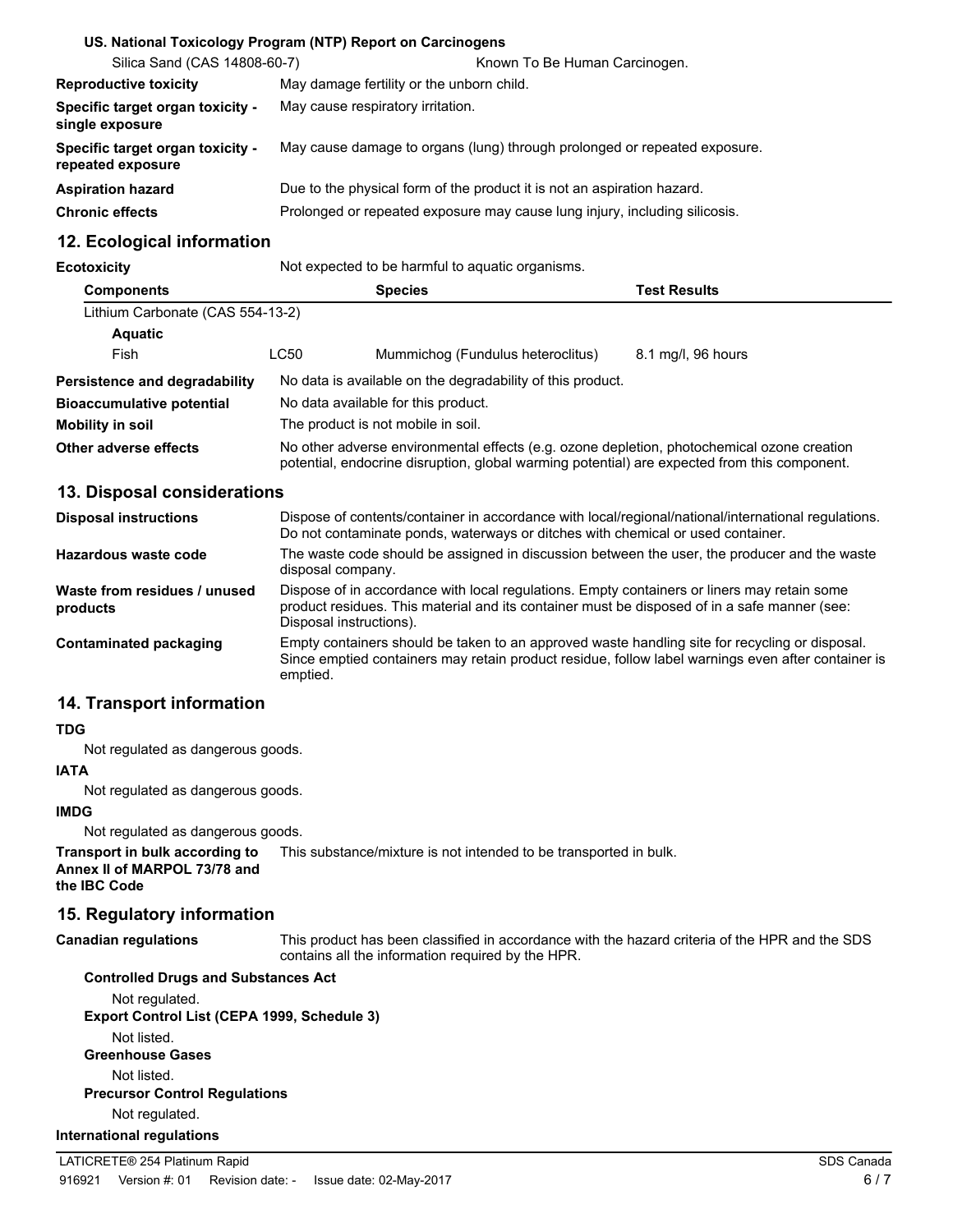|                                                       | US. National Toxicology Program (NTP) Report on Carcinogens                |  |
|-------------------------------------------------------|----------------------------------------------------------------------------|--|
| Silica Sand (CAS 14808-60-7)                          | Known To Be Human Carcinogen.                                              |  |
| <b>Reproductive toxicity</b>                          | May damage fertility or the unborn child.                                  |  |
| Specific target organ toxicity -<br>single exposure   | May cause respiratory irritation.                                          |  |
| Specific target organ toxicity -<br>repeated exposure | May cause damage to organs (lung) through prolonged or repeated exposure.  |  |
| <b>Aspiration hazard</b>                              | Due to the physical form of the product it is not an aspiration hazard.    |  |
| <b>Chronic effects</b>                                | Prolonged or repeated exposure may cause lung injury, including silicosis. |  |

# **12. Ecological information**

**Ecotoxicity** Not expected to be harmful to aquatic organisms.

| <b>Components</b>                |                                                                                                                                                                                            | <b>Species</b>                                             | Test Results       |
|----------------------------------|--------------------------------------------------------------------------------------------------------------------------------------------------------------------------------------------|------------------------------------------------------------|--------------------|
| Lithium Carbonate (CAS 554-13-2) |                                                                                                                                                                                            |                                                            |                    |
| <b>Aquatic</b>                   |                                                                                                                                                                                            |                                                            |                    |
| Fish                             | LC50                                                                                                                                                                                       | Mummichog (Fundulus heteroclitus)                          | 8.1 mg/l, 96 hours |
| Persistence and degradability    |                                                                                                                                                                                            | No data is available on the degradability of this product. |                    |
| <b>Bioaccumulative potential</b> |                                                                                                                                                                                            | No data available for this product.                        |                    |
| Mobility in soil                 | The product is not mobile in soil.                                                                                                                                                         |                                                            |                    |
| Other adverse effects            | No other adverse environmental effects (e.g. ozone depletion, photochemical ozone creation<br>potential, endocrine disruption, global warming potential) are expected from this component. |                                                            |                    |

# **13. Disposal considerations**

| <b>Disposal instructions</b>             | Dispose of contents/container in accordance with local/regional/national/international regulations.<br>Do not contaminate ponds, waterways or ditches with chemical or used container.                                 |
|------------------------------------------|------------------------------------------------------------------------------------------------------------------------------------------------------------------------------------------------------------------------|
| Hazardous waste code                     | The waste code should be assigned in discussion between the user, the producer and the waste<br>disposal company.                                                                                                      |
| Waste from residues / unused<br>products | Dispose of in accordance with local regulations. Empty containers or liners may retain some<br>product residues. This material and its container must be disposed of in a safe manner (see:<br>Disposal instructions). |
| Contaminated packaging                   | Empty containers should be taken to an approved waste handling site for recycling or disposal.<br>Since emptied containers may retain product residue, follow label warnings even after container is<br>emptied.       |

# **14. Transport information**

## **TDG**

Not regulated as dangerous goods.

## **IATA**

Not regulated as dangerous goods.

# **IMDG**

Not regulated as dangerous goods.

**Transport in bulk according to** This substance/mixture is not intended to be transported in bulk. **Annex II of MARPOL 73/78 and the IBC Code**

# **15. Regulatory information**

**Canadian regulations**

This product has been classified in accordance with the hazard criteria of the HPR and the SDS contains all the information required by the HPR.

## **Controlled Drugs and Substances Act** Not regulated. **Export Control List (CEPA 1999, Schedule 3)** Not listed.

**Greenhouse Gases** Not listed. **Precursor Control Regulations** Not regulated.

## **International regulations**